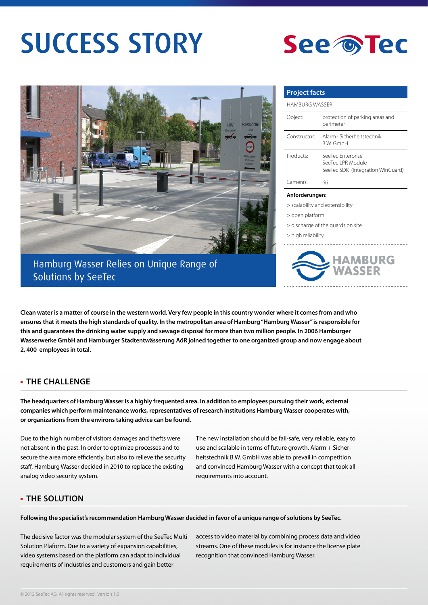# SUCCESS STORY





Hamburg Wasser Relies on Unique Range of Solutions by SeeTec

| <b>Project facts</b> |                                                                             |
|----------------------|-----------------------------------------------------------------------------|
| HAMBURG WASSER       |                                                                             |
| Object:              | protection of parking areas and<br>perimeter                                |
| Constructor          | Alarm+Sicherheitstechnik<br><b>BW GmbH</b>                                  |
| Products:            | SeeTec Enterprise<br>SeeTec LPR Module<br>SeeTec SDK (integration WinGuard) |
| Cameras:             | 66                                                                          |
| Anforderungen:       |                                                                             |

> scalability and extensibility

- > open platform
- > discharge of the guards on site
- > high reliability



**Clean water is a matter of course in the western world. Very few people in this country wonder where it comes from and who ensures that it meets the high standards of quality. In the metropolitan area of Hamburg "Hamburg Wasser" is responsible for this and guarantees the drinking water supply and sewage disposal for more than two million people. In 2006 Hamburger Wasserwerke GmbH and Hamburger Stadtentwässerung AöR joined together to one organized group and now engage about 2, 400 employees in total.** 

## **THE CHALLENGE**

**The headquarters of Hamburg Wasser is a highly frequented area. In addition to employees pursuing their work, external companies which perform maintenance works, representatives of research institutions Hamburg Wasser cooperates with, or organizations from the environs taking advice can be found.** 

Due to the high number of visitors damages and thefts were not absent in the past. In order to optimize processes and to secure the area more efficiently, but also to relieve the security staff, Hamburg Wasser decided in 2010 to replace the existing analog video security system.

The new installation should be fail-safe, very reliable, easy to use and scalable in terms of future growth. Alarm + Sicherheitstechnik B.W. GmbH was able to prevail in competition and convinced Hamburg Wasser with a concept that took all requirements into account.

### **THE SOLUTION**

**Following the specialist's recommendation Hamburg Wasser decided in favor of a unique range of solutions by SeeTec.** 

The decisive factor was the modular system of the SeeTec Multi Solution Plaform. Due to a variety of expansion capabilities, video systems based on the platform can adapt to individual requirements of industries and customers and gain better

access to video material by combining process data and video streams. One of these modules is for instance the license plate recognition that convinced Hamburg Wasser.